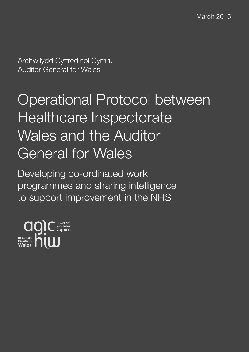Archwilydd Cyffredinol Cymru Auditor General for Wales

# Operational Protocol between Healthcare Inspectorate Wales and the Auditor General for Wales

Developing co-ordinated work programmes and sharing intelligence to support improvement in the NHS

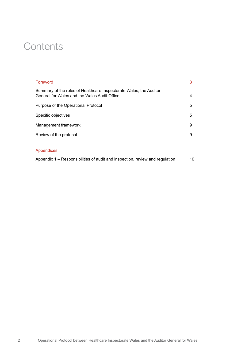# **Contents**

| Foreword                                                                                                           | 3 |
|--------------------------------------------------------------------------------------------------------------------|---|
| Summary of the roles of Healthcare Inspectorate Wales, the Auditor<br>General for Wales and the Wales Audit Office | 4 |
| Purpose of the Operational Protocol                                                                                | 5 |
| Specific objectives                                                                                                | 5 |
| Management framework                                                                                               | 9 |
| Review of the protocol                                                                                             | 9 |
|                                                                                                                    |   |

#### Appendices

Appendix 1 – Responsibilities of audit and inspection, review and regulation 10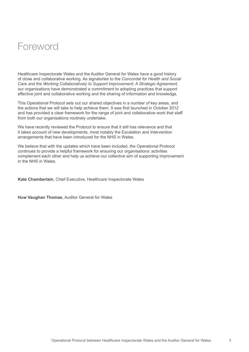# Foreword

Healthcare Inspectorate Wales and the Auditor General for Wales have a good history of close and collaborative working. As signatories to the *Concordat for Health and Social Care and the Working Collaboratively to Support Improvement: A Strategic Agreement,* our organisations have demonstrated a commitment to adopting practices that support effective joint and collaborative working and the sharing of information and knowledge.

This Operational Protocol sets out our shared objectives in a number of key areas, and the actions that we will take to help achieve them. It was first launched in October 2012 and has provided a clear framework for the range of joint and collaborative work that staff from both our organisations routinely undertake.

We have recently reviewed the Protocol to ensure that it still has relevance and that it takes account of new developments, most notably the Escalation and Intervention arrangements that have been introduced for the NHS in Wales.

We believe that with the updates which have been included, the Operational Protocol continues to provide a helpful framework for ensuring our organisations' activities complement each other and help us achieve our collective aim of supporting improvement in the NHS in Wales.

**Kate Chamberlain**, Chief Executive, Healthcare Inspectorate Wales

**Huw Vaughan Thomas**, Auditor General for Wales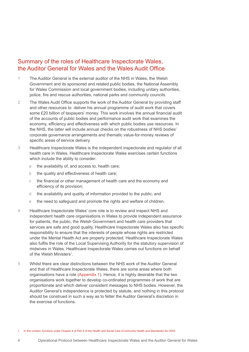### Summary of the roles of Healthcare Inspectorate Wales, the Auditor General for Wales and the Wales Audit Office

- 1 The Auditor General is the external auditor of the NHS in Wales, the Welsh Government and its sponsored and related public bodies, the National Assembly for Wales Commission and local government bodies, including unitary authorities, police, fire and rescue authorities, national parks and community councils.
- 2 The Wales Audit Office supports the work of the Auditor General by providing staff and other resources to deliver his annual programme of audit work that covers some £20 billion of taxpayers' money. This work involves the annual financial audit of the accounts of public bodies and performance audit work that examines the economy, efficiency and effectiveness with which public bodies use resources. In the NHS, the latter will include annual checks on the robustness of NHS bodies' corporate governance arrangements and thematic value-for-money reviews of specific areas of service delivery.
- 3 Healthcare Inspectorate Wales is the independent inspectorate and regulator of all health care in Wales. Healthcare Inspectorate Wales exercises certain functions which include the ability to consider:
	- a the availability of, and access to, health care;
	- b the quality and effectiveness of health care;
	- c the financial or other management of health care and the economy and efficiency of its provision;
	- d the availability and quality of information provided to the public; and
	- e the need to safeguard and promote the rights and welfare of children.
- 4 Healthcare Inspectorate Wales' core role is to review and inspect NHS and independent health care organisations in Wales to provide independent assurance for patients, the public, the Welsh Government and health care providers that services are safe and good quality. Healthcare Inspectorate Wales also has specific responsibility to ensure that the interests of people whose rights are restricted under the Mental Health Act are properly protected. Healthcare Inspectorate Wales also fulfils the role of the Local Supervising Authority for the statutory supervision of midwives in Wales. Healthcare Inspectorate Wales carries out functions on behalf of the Welsh Ministers<sup>1</sup>.
- 5 Whilst there are clear distinctions between the NHS work of the Auditor General and that of Healthcare Inspectorate Wales, there are some areas where both organisations have a role (Appendix 1). Hence, it is highly desirable that the two organisations work together to develop co-ordinated programmes of work that are proportionate and which deliver consistent messages to NHS bodies. However, the Auditor General's independence is protected by statute, and nothing in this protocol should be construed in such a way as to fetter the Auditor General's discretion in the exercise of functions.

1 In this context, functions under Chapter 4 of Part 2 of the Health and Social Care (Community Health and Standards) Act 2003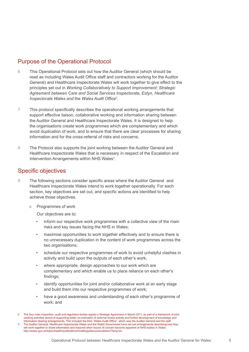# Purpose of the Operational Protocol

- 6 This Operational Protocol sets out how the Auditor General (which should be read as including Wales Audit Office staff and contractors working for the Auditor General) and Healthcare Inspectorate Wales will work together to give effect to the principles set out in *Working Collaboratively to Support Improvement: Strategic Agreement between Care and Social Services Inspectorate, Estyn, Healthcare Inspectorate Wales and the Wales Audit Office*<sup>2</sup> .
- 7 This protocol specifically describes the operational working arrangements that support effective liaison, collaborative working and information sharing between the Auditor General and Healthcare Inspectorate Wales. It is designed to help the organisations create work programmes which are complementary and which avoid duplication of work, and to ensure that there are clear processes for sharing information and for the cross-referral of risks and concerns.
- 8 The Protocol also supports the joint working between the Auditor General and Healthcare Inspectorate Wales that is necessary in respect of the Escalation and Intervention Arrangements within NHS Wales<sup>3</sup>.

### Specific objectives

- 9 The following sections consider specific areas where the Auditor General and Healthcare Inspectorate Wales intend to work together operationally. For each section, key objectives are set out, and specific actions are identified to help achieve those objectives.
	- a Programmes of work

Our objectives are to:

- inform our respective work programmes with a collective view of the main risks and key issues facing the NHS in Wales;
- maximise opportunities to work together effectively and to ensure there is no unnecessary duplication in the content of work programmes across the two organisations;
- schedule our respective programmes of work to avoid unhelpful clashes in activity and build upon the outputs of each other's work;
- where appropriate, design approaches to our work which are complementary and which enable us to place reliance on each other's findings;
- identify opportunities for joint and/or collaborative work at an early stage and build them into our respective programmes of work;
- have a good awareness and understanding of each other's programme of work; and

<sup>2</sup> The four main inspection, audit and regulation bodies signed a Strategic Agreement in March 2011, as part of a framework of joint working activities aimed at supporting better co-ordination of external review activity and further development of knowledge and information sharing arrangements. This included the then "Wales Audit Office", which was the Auditor General and his staff. 3 The Auditor General, Healthcare Inspectorate Wales and the Welsh Government have set out arrangements describing how they will work together to share information and respond when issues of concern become apparent at NHS bodies in Wales. http://wales.gov.uk/topics/health/publications/health/guidance/escalation/?lang=en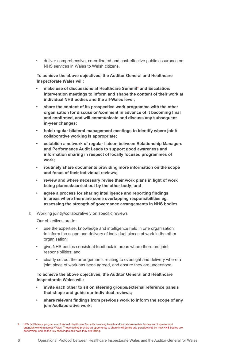• deliver comprehensive, co-ordinated and cost-effective public assurance on NHS services in Wales to Welsh citizens.

**To achieve the above objectives, the Auditor General and Healthcare Inspectorate Wales will:**

- **• make use of discussions at Healthcare Summit<sup>4</sup> and Escalation/ Intervention meetings to inform and shape the content of their work at individual NHS bodies and the all-Wales level;**
- **• share the content of its prospective work programme with the other organisation for discussion/comment in advance of it becoming final and confirmed, and will communicate and discuss any subsequent in-year changes;**
- **• hold regular bilateral management meetings to identify where joint/ collaborative working is appropriate;**
- **• establish a network of regular liaison between Relationship Managers and Performance Audit Leads to support good awareness and information sharing in respect of locally focused programmes of work;**
- **• routinely share documents providing more information on the scope and focus of their individual reviews;**
- **• review and where necessary revise their work plans in light of work being planned/carried out by the other body; and**
- **• agree a process for sharing intelligence and reporting findings in areas where there are some overlapping responsibilities eg, assessing the strength of governance arrangements in NHS bodies.**
- b Working jointly/collaboratively on specific reviews

Our objectives are to:

- use the expertise, knowledge and intelligence held in one organisation to inform the scope and delivery of individual pieces of work in the other organisation;
- give NHS bodies consistent feedback in areas where there are joint responsibilities; and
- clearly set out the arrangements relating to oversight and delivery where a joint piece of work has been agreed, and ensure they are understood.

#### **To achieve the above objectives, the Auditor General and Healthcare Inspectorate Wales will:**

- **• invite each other to sit on steering groups/external reference panels that shape and guide our individual reviews;**
- **• share relevant findings from previous work to inform the scope of any joint/collaborative work;**

<sup>4</sup> HIW facilitates a programme of annual Healthcare Summits involving health and social care review bodies and improvement agencies working across Wales. These events provide an opportunity to share intelligence and perspectives on how NHS bodies are performing, and on the key challenges and risks they are facing.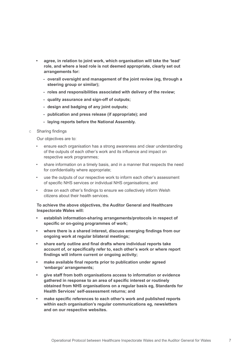- **• agree, in relation to joint work, which organisation will take the 'lead' role, and where a lead role is not deemed appropriate, clearly set out arrangements for:**
	- **- overall oversight and management of the joint review (eg, through a steering group or similar);**
	- **- roles and responsibilities associated with delivery of the review;**
	- **- quality assurance and sign-off of outputs;**
	- **- design and badging of any joint outputs;**
	- **- publication and press release (if appropriate); and**
	- **- laying reports before the National Assembly.**
- c Sharing findings

Our objectives are to:

- ensure each organisation has a strong awareness and clear understanding of the outputs of each other's work and its influence and impact on respective work programmes;
- share information on a timely basis, and in a manner that respects the need for confidentiality where appropriate;
- use the outputs of our respective work to inform each other's assessment of specific NHS services or individual NHS organisations; and
- draw on each other's findings to ensure we collectively inform Welsh citizens about their health services.

 **To achieve the above objectives, the Auditor General and Healthcare Inspectorate Wales will:**

- **• establish information-sharing arrangements/protocols in respect of specific or on-going programmes of work;**
- **• where there is a shared interest, discuss emerging findings from our ongoing work at regular bilateral meetings;**
- **• share early outline and final drafts where individual reports take account of, or specifically refer to, each other's work or where report findings will inform current or ongoing activity;**
- **• make available final reports prior to publication under agreed 'embargo' arrangements;**
- **• give staff from both organisations access to information or evidence gathered in response to an area of specific interest or routinely obtained from NHS organisations on a regular basis eg, Standards for Health Services' self-assessment returns; and**
- **• make specific references to each other's work and published reports within each organisation's regular communications eg, newsletters and on our respective websites.**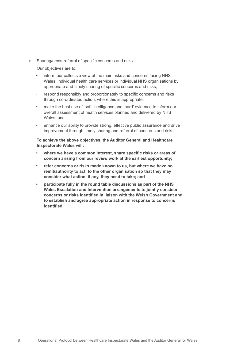d Sharing/cross-referral of specific concerns and risks

Our objectives are to:

- inform our collective view of the main risks and concerns facing NHS Wales, individual health care services or individual NHS organisations by appropriate and timely sharing of specific concerns and risks;
- respond responsibly and proportionately to specific concerns and risks through co-ordinated action, where this is appropriate;
- make the best use of 'soft' intelligence and 'hard' evidence to inform our overall assessment of health services planned and delivered by NHS Wales; and
- enhance our ability to provide strong, effective public assurance and drive improvement through timely sharing and referral of concerns and risks.

#### **To achieve the above objectives, the Auditor General and Healthcare Inspectorate Wales will:**

- **• where we have a common interest, share specific risks or areas of concern arising from our review work at the earliest opportunity;**
- **• refer concerns or risks made known to us, but where we have no remit/authority to act, to the other organisation so that they may consider what action, if any, they need to take; and**
- **• participate fully in the round table discussions as part of the NHS Wales Escalation and Intervention arrangements to jointly consider concerns or risks identified in liaison with the Welsh Government and to establish and agree appropriate action in response to concerns identified.**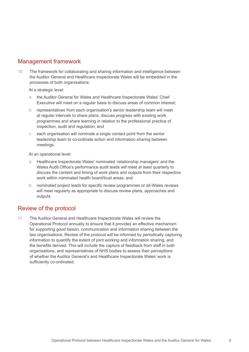# Management framework

10 The framework for collaborating and sharing information and intelligence between the Auditor General and Healthcare Inspectorate Wales will be embedded in the processes of both organisations:

At a strategic level:

- a the Auditor General for Wales and Healthcare Inspectorate Wales' Chief Executive will meet on a regular basis to discuss areas of common interest;
- b representatives from each organisation's senior leadership team will meet at regular intervals to share plans, discuss progress with existing work programmes and share learning in relation to the professional practice of inspection, audit and regulation; and
- c each organisation will nominate a single contact point from the senior leadership team to co-ordinate action and information sharing between meetings.

At an operational level:

- Healthcare Inspectorate Wales' nominated 'relationship managers' and the Wales Audit Office's performance audit leads will meet at least quarterly to discuss the content and timing of work plans and outputs from their respective work within nominated health board/trust areas; and
- b nominated project leads for specific review programmes or all-Wales reviews will meet regularly as appropriate to discuss review plans, approaches and outputs.

### Review of the protocol

11 The Auditor General and Healthcare Inspectorate Wales will review the Operational Protocol annually to ensure that it provides an effective mechanism for supporting good liaison, communication and information sharing between the two organisations. Review of the protocol will be informed by periodically capturing information to quantify the extent of joint working and information sharing, and the benefits derived. This will include the capture of feedback from staff in both organisations, and representatives of NHS bodies to assess their perceptions of whether the Auditor General's and Healthcare Inspectorate Wales' work is sufficiently co-ordinated.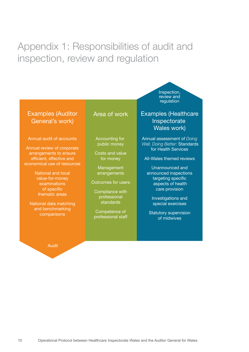# Appendix 1: Responsibilities of audit and inspection, review and regulation

# Examples (Auditor General's work)

Annual audit of accounts

Annual review of corporate arrangements to ensure efficient, effective and economical use of resources

> National and local value-for-money examinations of specific thematic areas

National data matching and benchmarking comparisons

#### Area of work

Accounting for public money

Costs and value for money

**Management** arrangements

Outcomes for users

Compliance with professional standards

Competence of professional staff Examples (Healthcare Inspectorate Wales work)

Inspection, review and regulation

Annual assessment of *Doing Well, Doing Better:* Standards for Health Services

All-Wales themed reviews

Unannounced and announced inspections targeting specific aspects of health care provision

Investigations and special exercises

Statutory supervision of midwives

Audit